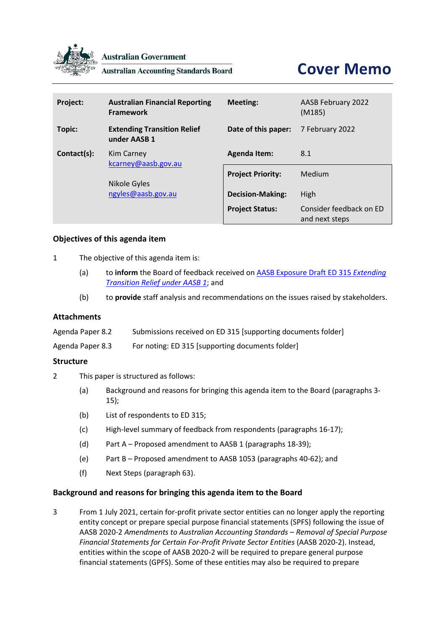

**Australian Government** 

**Australian Accounting Standards Board** 

# **Cover Memo**

| Project:    | <b>Australian Financial Reporting</b><br><b>Framework</b> | Meeting:                 | <b>AASB February 2022</b><br>(M185)       |
|-------------|-----------------------------------------------------------|--------------------------|-------------------------------------------|
| Topic:      | <b>Extending Transition Relief</b><br>under AASB 1        | Date of this paper:      | 7 February 2022                           |
| Contact(s): | <b>Kim Carney</b><br>kcarney@aasb.gov.au                  | <b>Agenda Item:</b>      | 8.1                                       |
|             |                                                           | <b>Project Priority:</b> | Medium                                    |
|             | Nikole Gyles<br>ngyles@aasb.gov.au                        | <b>Decision-Making:</b>  | High                                      |
|             |                                                           | <b>Project Status:</b>   | Consider feedback on ED<br>and next steps |

## **Objectives of this agenda item**

- 1 The objective of this agenda item is:
	- (a) to **inform** the Board of feedback received o[n AASB Exposure Draft ED 315](https://www.aasb.gov.au/admin/file/content105/c9/ACCED315_11-21.pdf) *Extending [Transition Relief under AASB 1](https://www.aasb.gov.au/admin/file/content105/c9/ACCED315_11-21.pdf)*; and
	- (b) to **provide** staff analysis and recommendations on the issues raised by stakeholders.

## **Attachments**

| Agenda Paper 8.2 | Submissions received on ED 315 [supporting documents folder] |
|------------------|--------------------------------------------------------------|
|------------------|--------------------------------------------------------------|

Agenda Paper 8.3 For noting: ED 315 [supporting documents folder]

#### **Structure**

- 2 This paper is structured as follows:
	- (a) [Background and reasons for bringing this agenda item to the Board](#page-0-0) (paragraphs [3-](#page-0-1) [15\)](#page-2-0);
	- (b) [List of respondents to ED 315;](#page-3-0)
	- (c) [High-level summary of feedback from respondents](#page-3-1) (paragraphs [16](#page-3-2)[-17\)](#page-3-3);
	- (d) Part A [Proposed amendment to AASB 1](#page-3-4) (paragraph[s 18](#page-3-5)[-39\)](#page-7-0);
	- (e) Part B [Proposed amendment to AASB 1053](#page-8-0) (paragraph[s 40](#page-8-1)[-62\)](#page-11-0); and
	- (f) [Next Steps](#page-12-0) (paragraph [63\)](#page-12-1).

#### <span id="page-0-0"></span>**Background and reasons for bringing this agenda item to the Board**

<span id="page-0-1"></span>3 From 1 July 2021, certain for-profit private sector entities can no longer apply the reporting entity concept or prepare special purpose financial statements (SPFS) following the issue of AASB 2020-2 *Amendments to Australian Accounting Standards – Removal of Special Purpose Financial Statements for Certain For-Profit Private Sector Entities* (AASB 2020-2). Instead, entities within the scope of AASB 2020-2 will be required to prepare general purpose financial statements (GPFS). Some of these entities may also be required to prepare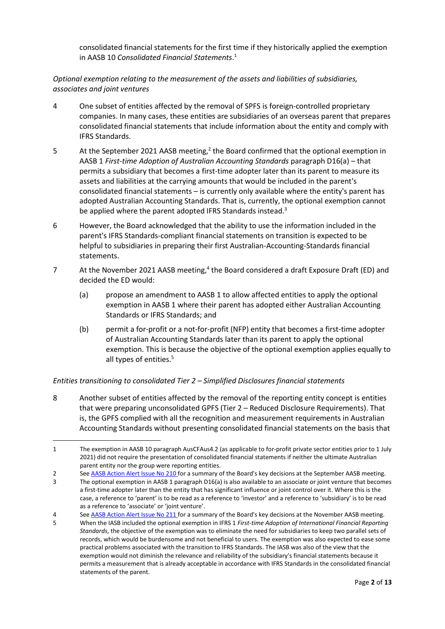consolidated financial statements for the first time if they historically applied the exemption in AASB 10 *Consolidated Financial Statements*. 1

*Optional exemption relating to the measurement of the assets and liabilities of subsidiaries, associates and joint ventures*

- 4 One subset of entities affected by the removal of SPFS is foreign-controlled proprietary companies. In many cases, these entities are subsidiaries of an overseas parent that prepares consolidated financial statements that include information about the entity and comply with IFRS Standards.
- 5 At the September 2021 AASB meeting,<sup>2</sup> the Board confirmed that the optional exemption in AASB 1 *First-time Adoption of Australian Accounting Standards* paragraph D16(a) – that permits a subsidiary that becomes a first-time adopter later than its parent to measure its assets and liabilities at the carrying amounts that would be included in the parent's consolidated financial statements – is currently only available where the entity's parent has adopted Australian Accounting Standards. That is, currently, the optional exemption cannot be applied where the parent adopted IFRS Standards instead.<sup>3</sup>
- 6 However, the Board acknowledged that the ability to use the information included in the parent's IFRS Standards-compliant financial statements on transition is expected to be helpful to subsidiaries in preparing their first Australian-Accounting-Standards financial statements.
- 7 At the November 2021 AASB meeting,<sup>4</sup> the Board considered a draft Exposure Draft (ED) and decided the ED would:
	- (a) propose an amendment to AASB 1 to allow affected entities to apply the optional exemption in AASB 1 where their parent has adopted either Australian Accounting Standards or IFRS Standards; and
	- (b) permit a for-profit or a not-for-profit (NFP) entity that becomes a first-time adopter of Australian Accounting Standards later than its parent to apply the optional exemption. This is because the objective of the optional exemption applies equally to all types of entities.<sup>5</sup>

## <span id="page-1-0"></span>*Entities transitioning to consolidated Tier 2 – Simplified Disclosures financial statements*

8 Another subset of entities affected by the removal of the reporting entity concept is entities that were preparing unconsolidated GPFS (Tier 2 – Reduced Disclosure Requirements). That is, the GPFS complied with all the recognition and measurement requirements in Australian Accounting Standards without presenting consolidated financial statements on the basis that

<sup>1</sup> The exemption in AASB 10 paragraph AusCFAus4.2 (as applicable to for-profit private sector entities prior to 1 July 2021) did not require the presentation of consolidated financial statements if neither the ultimate Australian parent entity nor the group were reporting entities.

<sup>2</sup> See [AASB Action Alert Issue No 210](https://www.aasb.gov.au/media/tv1frs10/210-actionalert.pdf) for a summary of the Board's key decisions at the September AASB meeting.

<sup>3</sup> The optional exemption in AASB 1 paragraph D16(a) is also available to an associate or joint venture that becomes a first-time adopter later than the entity that has significant influence or joint control over it. Where this is the case, a reference to 'parent' is to be read as a reference to 'investor' and a reference to 'subsidiary' is to be read as a reference to 'associate' or 'joint venture'.

<sup>4</sup> See [AASB Action Alert Issue No 211](https://www.aasb.gov.au/media/byim0vv1/211-actionalert.pdf) for a summary of the Board's key decisions at the November AASB meeting.

<sup>5</sup> When the IASB included the optional exemption in IFRS 1 *First-time Adoption of International Financial Reporting Standards*, the objective of the exemption was to eliminate the need for subsidiaries to keep two parallel sets of records, which would be burdensome and not beneficial to users. The exemption was also expected to ease some practical problems associated with the transition to IFRS Standards. The IASB was also of the view that the exemption would not diminish the relevance and reliability of the subsidiary's financial statements because it permits a measurement that is already acceptable in accordance with IFRS Standards in the consolidated financial statements of the parent.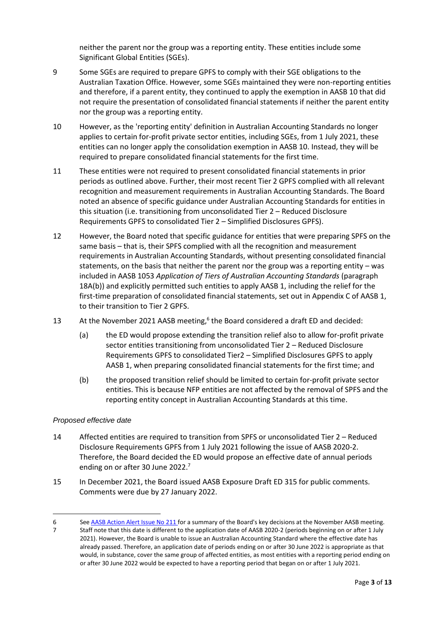neither the parent nor the group was a reporting entity. These entities include some Significant Global Entities (SGEs).

- 9 Some SGEs are required to prepare GPFS to comply with their SGE obligations to the Australian Taxation Office. However, some SGEs maintained they were non-reporting entities and therefore, if a parent entity, they continued to apply the exemption in AASB 10 that did not require the presentation of consolidated financial statements if neither the parent entity nor the group was a reporting entity.
- 10 However, as the 'reporting entity' definition in Australian Accounting Standards no longer applies to certain for-profit private sector entities, including SGEs, from 1 July 2021, these entities can no longer apply the consolidation exemption in AASB 10. Instead, they will be required to prepare consolidated financial statements for the first time.
- 11 These entities were not required to present consolidated financial statements in prior periods as outlined above. Further, their most recent Tier 2 GPFS complied with all relevant recognition and measurement requirements in Australian Accounting Standards. The Board noted an absence of specific guidance under Australian Accounting Standards for entities in this situation (i.e. transitioning from unconsolidated Tier 2 – Reduced Disclosure Requirements GPFS to consolidated Tier 2 – Simplified Disclosures GPFS).
- 12 However, the Board noted that specific guidance for entities that were preparing SPFS on the same basis – that is, their SPFS complied with all the recognition and measurement requirements in Australian Accounting Standards, without presenting consolidated financial statements, on the basis that neither the parent nor the group was a reporting entity – was included in AASB 1053 *Application of Tiers of Australian Accounting Standards* (paragraph 18A(b)) and explicitly permitted such entities to apply AASB 1, including the relief for the first-time preparation of consolidated financial statements, set out in Appendix C of AASB 1, to their transition to Tier 2 GPFS.
- 13 At the November 2021 AASB meeting,<sup>6</sup> the Board considered a draft ED and decided:
	- (a) the ED would propose extending the transition relief also to allow for-profit private sector entities transitioning from unconsolidated Tier 2 – Reduced Disclosure Requirements GPFS to consolidated Tier2 – Simplified Disclosures GPFS to apply AASB 1, when preparing consolidated financial statements for the first time; and
	- (b) the proposed transition relief should be limited to certain for-profit private sector entities. This is because NFP entities are not affected by the removal of SPFS and the reporting entity concept in Australian Accounting Standards at this time.

#### *Proposed effective date*

- 14 Affected entities are required to transition from SPFS or unconsolidated Tier 2 Reduced Disclosure Requirements GPFS from 1 July 2021 following the issue of AASB 2020-2. Therefore, the Board decided the ED would propose an effective date of annual periods ending on or after 30 June 2022.<sup>7</sup>
- <span id="page-2-0"></span>15 In December 2021, the Board issued AASB Exposure Draft ED 315 for public comments. Comments were due by 27 January 2022.

<sup>6</sup> See [AASB Action Alert Issue No 211](https://www.aasb.gov.au/media/byim0vv1/211-actionalert.pdf) for a summary of the Board's key decisions at the November AASB meeting.

<sup>7</sup> Staff note that this date is different to the application date of AASB 2020-2 (periods beginning on or after 1 July 2021). However, the Board is unable to issue an Australian Accounting Standard where the effective date has already passed. Therefore, an application date of periods ending on or after 30 June 2022 is appropriate as that would, in substance, cover the same group of affected entities, as most entities with a reporting period ending on or after 30 June 2022 would be expected to have a reporting period that began on or after 1 July 2021.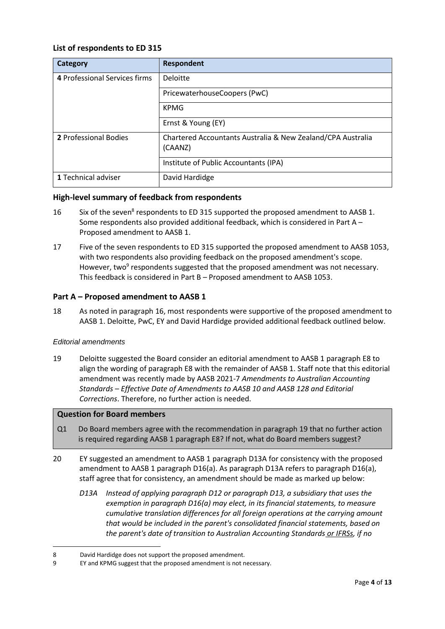## <span id="page-3-0"></span>**List of respondents to ED 315**

| Category                      | <b>Respondent</b>                                                      |
|-------------------------------|------------------------------------------------------------------------|
| 4 Professional Services firms | Deloitte                                                               |
|                               | PricewaterhouseCoopers (PwC)                                           |
|                               | <b>KPMG</b>                                                            |
|                               | Ernst & Young (EY)                                                     |
| 2 Professional Bodies         | Chartered Accountants Australia & New Zealand/CPA Australia<br>(CAANZ) |
|                               | Institute of Public Accountants (IPA)                                  |
| 1 Technical adviser           | David Hardidge                                                         |

## <span id="page-3-1"></span>**High-level summary of feedback from respondents**

- <span id="page-3-2"></span>16 Six of the seven<sup>8</sup> respondents to ED 315 supported the proposed amendment to AASB 1. Some respondents also provided additional feedback, which is considered in [Part A](#page-3-4) – [Proposed amendment to AASB 1.](#page-3-4)
- <span id="page-3-3"></span>17 Five of the seven respondents to ED 315 supported the proposed amendment to AASB 1053, with two respondents also providing feedback on the proposed amendment's scope. However, two<sup>9</sup> respondents suggested that the proposed amendment was not necessary. This feedback is considered in Part B – [Proposed amendment to AASB 1053.](#page-8-0)

## <span id="page-3-4"></span>**Part A – Proposed amendment to AASB 1**

<span id="page-3-5"></span>18 As noted in paragraph [16,](#page-3-2) most respondents were supportive of the proposed amendment to AASB 1. Deloitte, PwC, EY and David Hardidge provided additional feedback outlined below.

#### *Editorial amendments*

<span id="page-3-6"></span>19 Deloitte suggested the Board consider an editorial amendment to AASB 1 paragraph E8 to align the wording of paragraph E8 with the remainder of AASB 1. Staff note that this editorial amendment was recently made by AASB 2021-7 *Amendments to Australian Accounting Standards – Effective Date of Amendments to AASB 10 and AASB 128 and Editorial Corrections*. Therefore, no further action is needed.

#### **Question for Board members**

- Q1 Do Board members agree with the recommendation in paragrap[h 19](#page-3-6) that no further action is required regarding AASB 1 paragraph E8? If not, what do Board members suggest?
- <span id="page-3-7"></span>20 EY suggested an amendment to AASB 1 paragraph D13A for consistency with the proposed amendment to AASB 1 paragraph D16(a). As paragraph D13A refers to paragraph D16(a), staff agree that for consistency, an amendment should be made as marked up below:
	- *D13A Instead of applying paragraph D12 or paragraph D13, a subsidiary that uses the exemption in paragraph D16(a) may elect, in its financial statements, to measure cumulative translation differences for all foreign operations at the carrying amount that would be included in the parent's consolidated financial statements, based on the parent's date of transition to Australian Accounting Standards or IFRSs, if no*

<sup>8</sup> David Hardidge does not support the proposed amendment.

<sup>9</sup> EY and KPMG suggest that the proposed amendment is not necessary.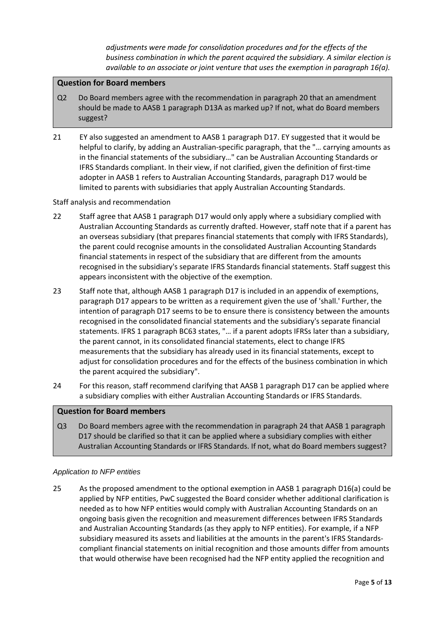*adjustments were made for consolidation procedures and for the effects of the business combination in which the parent acquired the subsidiary. A similar election is available to an associate or joint venture that uses the exemption in paragraph 16(a).*

### **Question for Board members**

- Q2 Do Board members agree with the recommendation in paragrap[h 20](#page-3-7) that an amendment should be made to AASB 1 paragraph D13A as marked up? If not, what do Board members suggest?
- 21 EY also suggested an amendment to AASB 1 paragraph D17. EY suggested that it would be helpful to clarify, by adding an Australian-specific paragraph, that the "… carrying amounts as in the financial statements of the subsidiary…" can be Australian Accounting Standards or IFRS Standards compliant. In their view, if not clarified, given the definition of first-time adopter in AASB 1 refers to Australian Accounting Standards, paragraph D17 would be limited to parents with subsidiaries that apply Australian Accounting Standards.

## Staff analysis and recommendation

- 22 Staff agree that AASB 1 paragraph D17 would only apply where a subsidiary complied with Australian Accounting Standards as currently drafted. However, staff note that if a parent has an overseas subsidiary (that prepares financial statements that comply with IFRS Standards), the parent could recognise amounts in the consolidated Australian Accounting Standards financial statements in respect of the subsidiary that are different from the amounts recognised in the subsidiary's separate IFRS Standards financial statements. Staff suggest this appears inconsistent with the objective of the exemption.
- 23 Staff note that, although AASB 1 paragraph D17 is included in an appendix of exemptions, paragraph D17 appears to be written as a requirement given the use of 'shall.' Further, the intention of paragraph D17 seems to be to ensure there is consistency between the amounts recognised in the consolidated financial statements and the subsidiary's separate financial statements. IFRS 1 paragraph BC63 states, "… if a parent adopts IFRSs later than a subsidiary, the parent cannot, in its consolidated financial statements, elect to change IFRS measurements that the subsidiary has already used in its financial statements, except to adjust for consolidation procedures and for the effects of the business combination in which the parent acquired the subsidiary".
- <span id="page-4-0"></span>24 For this reason, staff recommend clarifying that AASB 1 paragraph D17 can be applied where a subsidiary complies with either Australian Accounting Standards or IFRS Standards.

#### **Question for Board members**

Q3 Do Board members agree with the recommendation in paragrap[h 24](#page-4-0) that AASB 1 paragraph D17 should be clarified so that it can be applied where a subsidiary complies with either Australian Accounting Standards or IFRS Standards. If not, what do Board members suggest?

#### *Application to NFP entities*

25 As the proposed amendment to the optional exemption in AASB 1 paragraph D16(a) could be applied by NFP entities, PwC suggested the Board consider whether additional clarification is needed as to how NFP entities would comply with Australian Accounting Standards on an ongoing basis given the recognition and measurement differences between IFRS Standards and Australian Accounting Standards (as they apply to NFP entities). For example, if a NFP subsidiary measured its assets and liabilities at the amounts in the parent's IFRS Standardscompliant financial statements on initial recognition and those amounts differ from amounts that would otherwise have been recognised had the NFP entity applied the recognition and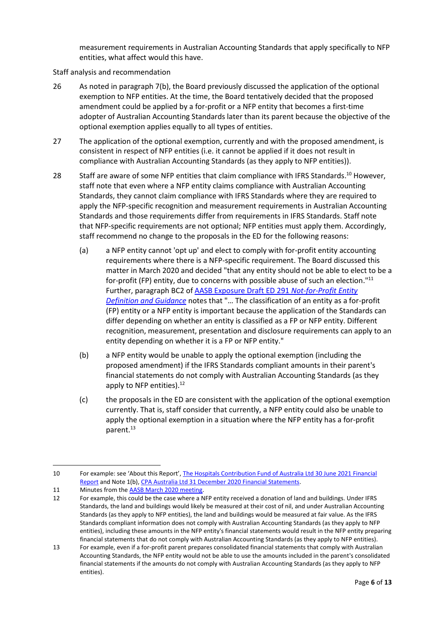measurement requirements in Australian Accounting Standards that apply specifically to NFP entities, what affect would this have.

Staff analysis and recommendation

- 26 As noted in paragraph [7\(b\),](#page-1-0) the Board previously discussed the application of the optional exemption to NFP entities. At the time, the Board tentatively decided that the proposed amendment could be applied by a for-profit or a NFP entity that becomes a first-time adopter of Australian Accounting Standards later than its parent because the objective of the optional exemption applies equally to all types of entities.
- 27 The application of the optional exemption, currently and with the proposed amendment, is consistent in respect of NFP entities (i.e. it cannot be applied if it does not result in compliance with Australian Accounting Standards (as they apply to NFP entities)).
- <span id="page-5-0"></span>28 Staff are aware of some NFP entities that claim compliance with IFRS Standards.<sup>10</sup> However, staff note that even where a NFP entity claims compliance with Australian Accounting Standards, they cannot claim compliance with IFRS Standards where they are required to apply the NFP-specific recognition and measurement requirements in Australian Accounting Standards and those requirements differ from requirements in IFRS Standards. Staff note that NFP-specific requirements are not optional; NFP entities must apply them. Accordingly, staff recommend no change to the proposals in the ED for the following reasons:
	- (a) a NFP entity cannot 'opt up' and elect to comply with for-profit entity accounting requirements where there is a NFP-specific requirement. The Board discussed this matter in March 2020 and decided "that any entity should not be able to elect to be a for-profit (FP) entity, due to concerns with possible abuse of such an election."<sup>11</sup> Further, paragraph BC2 o[f AASB Exposure Draft ED](https://www.aasb.gov.au/admin/file/content105/c9/ACCED291_06-19.pdf) 291 *Not-for-Profit Entity [Definition and Guidance](https://www.aasb.gov.au/admin/file/content105/c9/ACCED291_06-19.pdf)* notes that "… The classification of an entity as a for-profit (FP) entity or a NFP entity is important because the application of the Standards can differ depending on whether an entity is classified as a FP or NFP entity. Different recognition, measurement, presentation and disclosure requirements can apply to an entity depending on whether it is a FP or NFP entity."
	- (b) a NFP entity would be unable to apply the optional exemption (including the proposed amendment) if the IFRS Standards compliant amounts in their parent's financial statements do not comply with Australian Accounting Standards (as they apply to NFP entities).<sup>12</sup>
	- (c) the proposals in the ED are consistent with the application of the optional exemption currently. That is, staff consider that currently, a NFP entity could also be unable to apply the optional exemption in a situation where the NFP entity has a for-profit parent. 13

<sup>10</sup> For example: see 'About this Report', The Hospitals Contribution Fund of Australia Ltd 30 June 2021 Financial [Report](https://www.hcf.com.au/about-us/about-HCF/governance-and-structure/annual-report) and Note 1(b), [CPA Australia Ltd 31 December 2020 Financial Statements.](https://content.cpaaustralia.com.au/-/media/corporate/allfiles/AnnualReport-2020/pdfs/CPA_Australia_Integrated_Report_2020_Full_Report.pdf)

<sup>11</sup> Minutes from the **AASB March 2020 meeting**.

<sup>12</sup> For example, this could be the case where a NFP entity received a donation of land and buildings. Under IFRS Standards, the land and buildings would likely be measured at their cost of nil, and under Australian Accounting Standards (as they apply to NFP entities), the land and buildings would be measured at fair value. As the IFRS Standards compliant information does not comply with Australian Accounting Standards (as they apply to NFP entities), including these amounts in the NFP entity's financial statements would result in the NFP entity preparing financial statements that do not comply with Australian Accounting Standards (as they apply to NFP entities).

<sup>13</sup> For example, even if a for-profit parent prepares consolidated financial statements that comply with Australian Accounting Standards, the NFP entity would not be able to use the amounts included in the parent's consolidated financial statements if the amounts do not comply with Australian Accounting Standards (as they apply to NFP entities).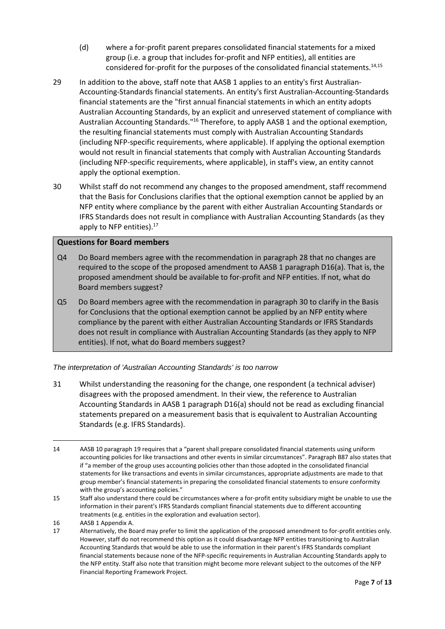- (d) where a for-profit parent prepares consolidated financial statements for a mixed group (i.e. a group that includes for-profit and NFP entities), all entities are considered for-profit for the purposes of the consolidated financial statements.14,15
- 29 In addition to the above, staff note that AASB 1 applies to an entity's first Australian-Accounting-Standards financial statements. An entity's first Australian-Accounting-Standards financial statements are the "first annual financial statements in which an entity adopts Australian Accounting Standards, by an explicit and unreserved statement of compliance with Australian Accounting Standards."<sup>16</sup> Therefore, to apply AASB 1 and the optional exemption, the resulting financial statements must comply with Australian Accounting Standards (including NFP-specific requirements, where applicable). If applying the optional exemption would not result in financial statements that comply with Australian Accounting Standards (including NFP-specific requirements, where applicable), in staff's view, an entity cannot apply the optional exemption.
- <span id="page-6-0"></span>30 Whilst staff do not recommend any changes to the proposed amendment, staff recommend that the Basis for Conclusions clarifies that the optional exemption cannot be applied by an NFP entity where compliance by the parent with either Australian Accounting Standards or IFRS Standards does not result in compliance with Australian Accounting Standards (as they apply to NFP entities).<sup>17</sup>

## **Questions for Board members**

- Q4 Do Board members agree with the recommendation in paragrap[h 28](#page-5-0) that no changes are required to the scope of the proposed amendment to AASB 1 paragraph D16(a). That is, the proposed amendment should be available to for-profit and NFP entities. If not, what do Board members suggest?
- Q5 Do Board members agree with the recommendation in paragrap[h 30](#page-6-0) to clarify in the Basis for Conclusions that the optional exemption cannot be applied by an NFP entity where compliance by the parent with either Australian Accounting Standards or IFRS Standards does not result in compliance with Australian Accounting Standards (as they apply to NFP entities). If not, what do Board members suggest?

#### *The interpretation of 'Australian Accounting Standards' is too narrow*

31 Whilst understanding the reasoning for the change, one respondent (a technical adviser) disagrees with the proposed amendment. In their view, the reference to Australian Accounting Standards in AASB 1 paragraph D16(a) should not be read as excluding financial statements prepared on a measurement basis that is equivalent to Australian Accounting Standards (e.g. IFRS Standards).

<sup>14</sup> AASB 10 paragraph 19 requires that a "parent shall prepare consolidated financial statements using uniform accounting policies for like transactions and other events in similar circumstances". Paragraph B87 also states that if "a member of the group uses accounting policies other than those adopted in the consolidated financial statements for like transactions and events in similar circumstances, appropriate adjustments are made to that group member's financial statements in preparing the consolidated financial statements to ensure conformity with the group's accounting policies."

<sup>15</sup> Staff also understand there could be circumstances where a for-profit entity subsidiary might be unable to use the information in their parent's IFRS Standards compliant financial statements due to different accounting treatments (e.g. entities in the exploration and evaluation sector).

<sup>16</sup> AASB 1 Appendix A.

<sup>17</sup> Alternatively, the Board may prefer to limit the application of the proposed amendment to for-profit entities only. However, staff do not recommend this option as it could disadvantage NFP entities transitioning to Australian Accounting Standards that would be able to use the information in their parent's IFRS Standards compliant financial statements because none of the NFP-specific requirements in Australian Accounting Standards apply to the NFP entity. Staff also note that transition might become more relevant subject to the outcomes of the NFP Financial Reporting Framework Project.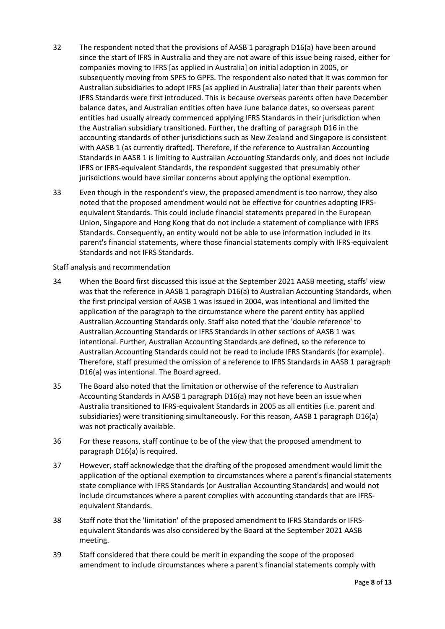- 32 The respondent noted that the provisions of AASB 1 paragraph D16(a) have been around since the start of IFRS in Australia and they are not aware of this issue being raised, either for companies moving to IFRS [as applied in Australia] on initial adoption in 2005, or subsequently moving from SPFS to GPFS. The respondent also noted that it was common for Australian subsidiaries to adopt IFRS [as applied in Australia] later than their parents when IFRS Standards were first introduced. This is because overseas parents often have December balance dates, and Australian entities often have June balance dates, so overseas parent entities had usually already commenced applying IFRS Standards in their jurisdiction when the Australian subsidiary transitioned. Further, the drafting of paragraph D16 in the accounting standards of other jurisdictions such as New Zealand and Singapore is consistent with AASB 1 (as currently drafted). Therefore, if the reference to Australian Accounting Standards in AASB 1 is limiting to Australian Accounting Standards only, and does not include IFRS or IFRS-equivalent Standards, the respondent suggested that presumably other jurisdictions would have similar concerns about applying the optional exemption.
- 33 Even though in the respondent's view, the proposed amendment is too narrow, they also noted that the proposed amendment would not be effective for countries adopting IFRSequivalent Standards. This could include financial statements prepared in the European Union, Singapore and Hong Kong that do not include a statement of compliance with IFRS Standards. Consequently, an entity would not be able to use information included in its parent's financial statements, where those financial statements comply with IFRS-equivalent Standards and not IFRS Standards.

Staff analysis and recommendation

- 34 When the Board first discussed this issue at the September 2021 AASB meeting, staffs' view was that the reference in AASB 1 paragraph D16(a) to Australian Accounting Standards, when the first principal version of AASB 1 was issued in 2004, was intentional and limited the application of the paragraph to the circumstance where the parent entity has applied Australian Accounting Standards only. Staff also noted that the 'double reference' to Australian Accounting Standards or IFRS Standards in other sections of AASB 1 was intentional. Further, Australian Accounting Standards are defined, so the reference to Australian Accounting Standards could not be read to include IFRS Standards (for example). Therefore, staff presumed the omission of a reference to IFRS Standards in AASB 1 paragraph D16(a) was intentional. The Board agreed.
- 35 The Board also noted that the limitation or otherwise of the reference to Australian Accounting Standards in AASB 1 paragraph D16(a) may not have been an issue when Australia transitioned to IFRS-equivalent Standards in 2005 as all entities (i.e. parent and subsidiaries) were transitioning simultaneously. For this reason, AASB 1 paragraph D16(a) was not practically available.
- 36 For these reasons, staff continue to be of the view that the proposed amendment to paragraph D16(a) is required.
- 37 However, staff acknowledge that the drafting of the proposed amendment would limit the application of the optional exemption to circumstances where a parent's financial statements state compliance with IFRS Standards (or Australian Accounting Standards) and would not include circumstances where a parent complies with accounting standards that are IFRSequivalent Standards.
- 38 Staff note that the 'limitation' of the proposed amendment to IFRS Standards or IFRSequivalent Standards was also considered by the Board at the September 2021 AASB meeting.
- <span id="page-7-0"></span>39 Staff considered that there could be merit in expanding the scope of the proposed amendment to include circumstances where a parent's financial statements comply with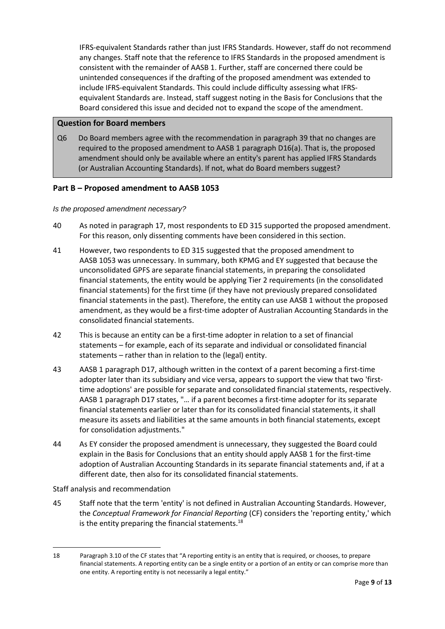IFRS-equivalent Standards rather than just IFRS Standards. However, staff do not recommend any changes. Staff note that the reference to IFRS Standards in the proposed amendment is consistent with the remainder of AASB 1. Further, staff are concerned there could be unintended consequences if the drafting of the proposed amendment was extended to include IFRS-equivalent Standards. This could include difficulty assessing what IFRSequivalent Standards are. Instead, staff suggest noting in the Basis for Conclusions that the Board considered this issue and decided not to expand the scope of the amendment.

### **Question for Board members**

Q6 Do Board members agree with the recommendation in paragrap[h 39](#page-7-0) that no changes are required to the proposed amendment to AASB 1 paragraph D16(a). That is, the proposed amendment should only be available where an entity's parent has applied IFRS Standards (or Australian Accounting Standards). If not, what do Board members suggest?

## <span id="page-8-0"></span>**Part B – Proposed amendment to AASB 1053**

#### *Is the proposed amendment necessary?*

- <span id="page-8-1"></span>40 As noted in paragraph [17,](#page-3-3) most respondents to ED 315 supported the proposed amendment. For this reason, only dissenting comments have been considered in this section.
- <span id="page-8-2"></span>41 However, two respondents to ED 315 suggested that the proposed amendment to AASB 1053 was unnecessary. In summary, both KPMG and EY suggested that because the unconsolidated GPFS are separate financial statements, in preparing the consolidated financial statements, the entity would be applying Tier 2 requirements (in the consolidated financial statements) for the first time (if they have not previously prepared consolidated financial statements in the past). Therefore, the entity can use AASB 1 without the proposed amendment, as they would be a first-time adopter of Australian Accounting Standards in the consolidated financial statements.
- <span id="page-8-3"></span>42 This is because an entity can be a first-time adopter in relation to a set of financial statements – for example, each of its separate and individual or consolidated financial statements – rather than in relation to the (legal) entity.
- 43 AASB 1 paragraph D17, although written in the context of a parent becoming a first-time adopter later than its subsidiary and vice versa, appears to support the view that two 'firsttime adoptions' are possible for separate and consolidated financial statements, respectively. AASB 1 paragraph D17 states, "… if a parent becomes a first-time adopter for its separate financial statements earlier or later than for its consolidated financial statements, it shall measure its assets and liabilities at the same amounts in both financial statements, except for consolidation adjustments."
- <span id="page-8-4"></span>44 As EY consider the proposed amendment is unnecessary, they suggested the Board could explain in the Basis for Conclusions that an entity should apply AASB 1 for the first-time adoption of Australian Accounting Standards in its separate financial statements and, if at a different date, then also for its consolidated financial statements.

Staff analysis and recommendation

45 Staff note that the term 'entity' is not defined in Australian Accounting Standards. However, the *Conceptual Framework for Financial Reporting* (CF) considers the 'reporting entity,' which is the entity preparing the financial statements. $^{18}$ 

<sup>18</sup> Paragraph 3.10 of the CF states that "A reporting entity is an entity that is required, or chooses, to prepare financial statements. A reporting entity can be a single entity or a portion of an entity or can comprise more than one entity. A reporting entity is not necessarily a legal entity."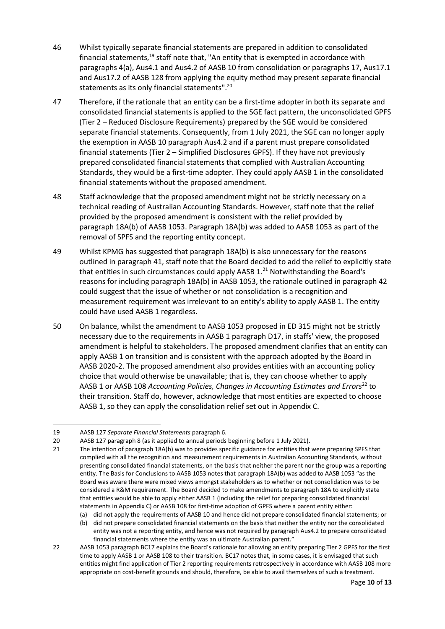- 46 Whilst typically separate financial statements are prepared in addition to consolidated financial statements, $19$  staff note that, "An entity that is exempted in accordance with paragraphs 4(a), Aus4.1 and Aus4.2 of AASB 10 from consolidation or paragraphs 17, Aus17.1 and Aus17.2 of AASB 128 from applying the equity method may present separate financial statements as its only financial statements". 20
- 47 Therefore, if the rationale that an entity can be a first-time adopter in both its separate and consolidated financial statements is applied to the SGE fact pattern, the unconsolidated GPFS (Tier 2 – Reduced Disclosure Requirements) prepared by the SGE would be considered separate financial statements. Consequently, from 1 July 2021, the SGE can no longer apply the exemption in AASB 10 paragraph Aus4.2 and if a parent must prepare consolidated financial statements (Tier 2 – Simplified Disclosures GPFS). If they have not previously prepared consolidated financial statements that complied with Australian Accounting Standards, they would be a first-time adopter. They could apply AASB 1 in the consolidated financial statements without the proposed amendment.
- 48 Staff acknowledge that the proposed amendment might not be strictly necessary on a technical reading of Australian Accounting Standards. However, staff note that the relief provided by the proposed amendment is consistent with the relief provided by paragraph 18A(b) of AASB 1053. Paragraph 18A(b) was added to AASB 1053 as part of the removal of SPFS and the reporting entity concept.
- 49 Whilst KPMG has suggested that paragraph 18A(b) is also unnecessary for the reasons outlined in paragraph [41,](#page-8-2) staff note that the Board decided to add the relief to explicitly state that entities in such circumstances could apply AASB  $1.^{21}$  Notwithstanding the Board's reasons for including paragraph 18A(b) in AASB 1053, the rationale outlined in paragraph [42](#page-8-3) could suggest that the issue of whether or not consolidation is a recognition and measurement requirement was irrelevant to an entity's ability to apply AASB 1. The entity could have used AASB 1 regardless.
- 50 On balance, whilst the amendment to AASB 1053 proposed in ED 315 might not be strictly necessary due to the requirements in AASB 1 paragraph D17, in staffs' view, the proposed amendment is helpful to stakeholders. The proposed amendment clarifies that an entity can apply AASB 1 on transition and is consistent with the approach adopted by the Board in AASB 2020-2. The proposed amendment also provides entities with an accounting policy choice that would otherwise be unavailable; that is, they can choose whether to apply AASB 1 or AASB 108 *Accounting Policies, Changes in Accounting Estimates and Errors*<sup>22</sup> to their transition. Staff do, however, acknowledge that most entities are expected to choose AASB 1, so they can apply the consolidation relief set out in Appendix C.

<sup>19</sup> AASB 127 *Separate Financial Statements* paragraph 6.

<sup>20</sup> AASB 127 paragraph 8 (as it applied to annual periods beginning before 1 July 2021).

<sup>21</sup> The intention of paragraph 18A(b) was to provides specific guidance for entities that were preparing SPFS that complied with all the recognition and measurement requirements in Australian Accounting Standards, without presenting consolidated financial statements, on the basis that neither the parent nor the group was a reporting entity. The Basis for Conclusions to AASB 1053 notes that paragraph 18A(b) was added to AASB 1053 "as the Board was aware there were mixed views amongst stakeholders as to whether or not consolidation was to be considered a R&M requirement. The Board decided to make amendments to paragraph 18A to explicitly state that entities would be able to apply either AASB 1 (including the relief for preparing consolidated financial statements in Appendix C) or AASB 108 for first-time adoption of GPFS where a parent entity either:

<sup>(</sup>a) did not apply the requirements of AASB 10 and hence did not prepare consolidated financial statements; or

<sup>(</sup>b) did not prepare consolidated financial statements on the basis that neither the entity nor the consolidated entity was not a reporting entity, and hence was not required by paragraph Aus4.2 to prepare consolidated financial statements where the entity was an ultimate Australian parent."

<sup>22</sup> AASB 1053 paragraph BC17 explains the Board's rationale for allowing an entity preparing Tier 2 GPFS for the first time to apply AASB 1 or AASB 108 to their transition. BC17 notes that, in some cases, it is envisaged that such entities might find application of Tier 2 reporting requirements retrospectively in accordance with AASB 108 more appropriate on cost-benefit grounds and should, therefore, be able to avail themselves of such a treatment.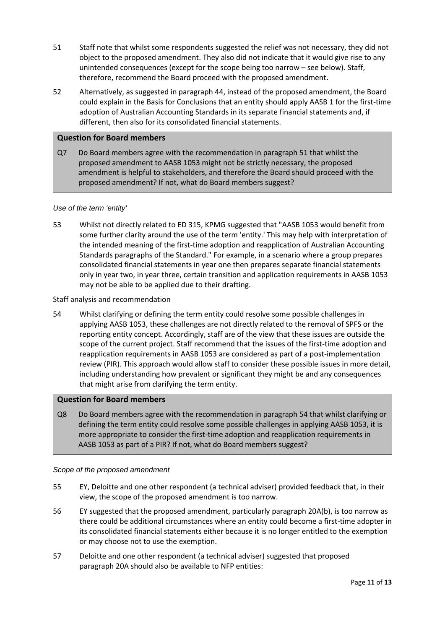- <span id="page-10-0"></span>51 Staff note that whilst some respondents suggested the relief was not necessary, they did not object to the proposed amendment. They also did not indicate that it would give rise to any unintended consequences (except for the scope being too narrow – see below). Staff, therefore, recommend the Board proceed with the proposed amendment.
- 52 Alternatively, as suggested in paragrap[h 44,](#page-8-4) instead of the proposed amendment, the Board could explain in the Basis for Conclusions that an entity should apply AASB 1 for the first-time adoption of Australian Accounting Standards in its separate financial statements and, if different, then also for its consolidated financial statements.

### **Question for Board members**

Q7 Do Board members agree with the recommendation in paragrap[h 51](#page-10-0) that whilst the proposed amendment to AASB 1053 might not be strictly necessary, the proposed amendment is helpful to stakeholders, and therefore the Board should proceed with the proposed amendment? If not, what do Board members suggest?

#### *Use of the term 'entity'*

53 Whilst not directly related to ED 315, KPMG suggested that "AASB 1053 would benefit from some further clarity around the use of the term 'entity.' This may help with interpretation of the intended meaning of the first-time adoption and reapplication of Australian Accounting Standards paragraphs of the Standard." For example, in a scenario where a group prepares consolidated financial statements in year one then prepares separate financial statements only in year two, in year three, certain transition and application requirements in AASB 1053 may not be able to be applied due to their drafting.

#### Staff analysis and recommendation

<span id="page-10-1"></span>54 Whilst clarifying or defining the term entity could resolve some possible challenges in applying AASB 1053, these challenges are not directly related to the removal of SPFS or the reporting entity concept. Accordingly, staff are of the view that these issues are outside the scope of the current project. Staff recommend that the issues of the first-time adoption and reapplication requirements in AASB 1053 are considered as part of a post-implementation review (PIR). This approach would allow staff to consider these possible issues in more detail, including understanding how prevalent or significant they might be and any consequences that might arise from clarifying the term entity.

#### **Question for Board members**

Q8 Do Board members agree with the recommendation in paragrap[h 54](#page-10-1) that whilst clarifying or defining the term entity could resolve some possible challenges in applying AASB 1053, it is more appropriate to consider the first-time adoption and reapplication requirements in AASB 1053 as part of a PIR? If not, what do Board members suggest?

#### *Scope of the proposed amendment*

- 55 EY, Deloitte and one other respondent (a technical adviser) provided feedback that, in their view, the scope of the proposed amendment is too narrow.
- <span id="page-10-2"></span>56 EY suggested that the proposed amendment, particularly paragraph 20A(b), is too narrow as there could be additional circumstances where an entity could become a first-time adopter in its consolidated financial statements either because it is no longer entitled to the exemption or may choose not to use the exemption.
- <span id="page-10-3"></span>57 Deloitte and one other respondent (a technical adviser) suggested that proposed paragraph 20A should also be available to NFP entities: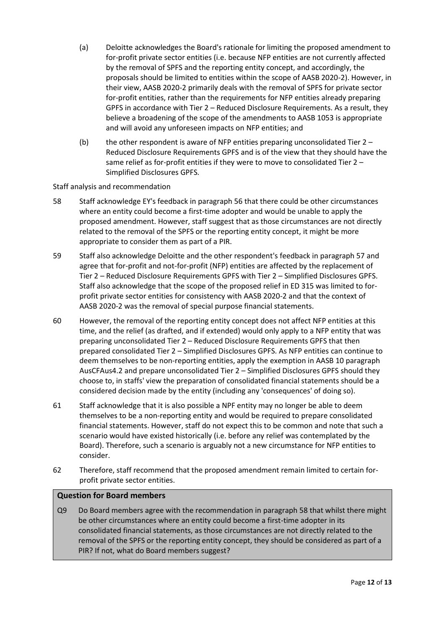- (a) Deloitte acknowledges the Board's rationale for limiting the proposed amendment to for-profit private sector entities (i.e. because NFP entities are not currently affected by the removal of SPFS and the reporting entity concept, and accordingly, the proposals should be limited to entities within the scope of AASB 2020-2). However, in their view, AASB 2020-2 primarily deals with the removal of SPFS for private sector for-profit entities, rather than the requirements for NFP entities already preparing GPFS in accordance with Tier 2 – Reduced Disclosure Requirements. As a result, they believe a broadening of the scope of the amendments to AASB 1053 is appropriate and will avoid any unforeseen impacts on NFP entities; and
- (b) the other respondent is aware of NFP entities preparing unconsolidated Tier 2 Reduced Disclosure Requirements GPFS and is of the view that they should have the same relief as for-profit entities if they were to move to consolidated Tier 2 – Simplified Disclosures GPFS.

Staff analysis and recommendation

- <span id="page-11-1"></span>58 Staff acknowledge EY's feedback in paragraph [56](#page-10-2) that there could be other circumstances where an entity could become a first-time adopter and would be unable to apply the proposed amendment. However, staff suggest that as those circumstances are not directly related to the removal of the SPFS or the reporting entity concept, it might be more appropriate to consider them as part of a PIR.
- 59 Staff also acknowledge Deloitte and the other respondent's feedback in paragraph [57](#page-10-3) and agree that for-profit and not-for-profit (NFP) entities are affected by the replacement of Tier 2 – Reduced Disclosure Requirements GPFS with Tier 2 – Simplified Disclosures GPFS. Staff also acknowledge that the scope of the proposed relief in ED 315 was limited to forprofit private sector entities for consistency with AASB 2020-2 and that the context of AASB 2020-2 was the removal of special purpose financial statements.
- 60 However, the removal of the reporting entity concept does not affect NFP entities at this time, and the relief (as drafted, and if extended) would only apply to a NFP entity that was preparing unconsolidated Tier 2 – Reduced Disclosure Requirements GPFS that then prepared consolidated Tier 2 – Simplified Disclosures GPFS. As NFP entities can continue to deem themselves to be non-reporting entities, apply the exemption in AASB 10 paragraph AusCFAus4.2 and prepare unconsolidated Tier 2 – Simplified Disclosures GPFS should they choose to, in staffs' view the preparation of consolidated financial statements should be a considered decision made by the entity (including any 'consequences' of doing so).
- 61 Staff acknowledge that it is also possible a NPF entity may no longer be able to deem themselves to be a non-reporting entity and would be required to prepare consolidated financial statements. However, staff do not expect this to be common and note that such a scenario would have existed historically (i.e. before any relief was contemplated by the Board). Therefore, such a scenario is arguably not a new circumstance for NFP entities to consider.
- <span id="page-11-0"></span>62 Therefore, staff recommend that the proposed amendment remain limited to certain forprofit private sector entities.

## **Question for Board members**

Q9 Do Board members agree with the recommendation in paragrap[h 58](#page-11-1) that whilst there might be other circumstances where an entity could become a first-time adopter in its consolidated financial statements, as those circumstances are not directly related to the removal of the SPFS or the reporting entity concept, they should be considered as part of a PIR? If not, what do Board members suggest?